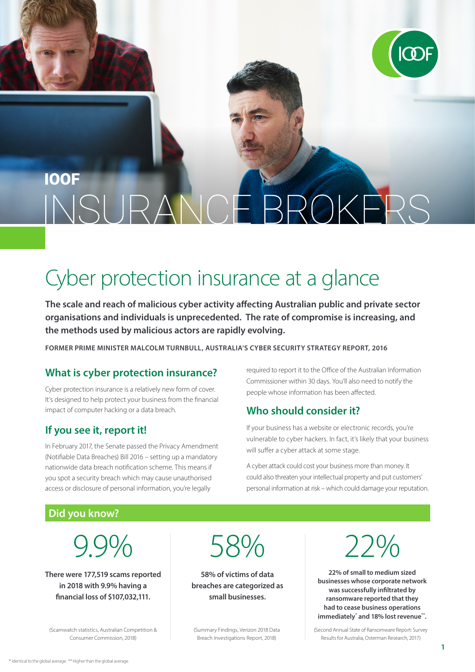

### **IOOE** E BROKERS RANNS

## Cyber protection insurance at a glance

**The scale and reach of malicious cyber activity affecting Australian public and private sector organisations and individuals is unprecedented. The rate of compromise is increasing, and the methods used by malicious actors are rapidly evolving.**

**FORMER PRIME MINISTER MALCOLM TURNBULL, AUSTRALIA'S CYBER SECURITY STRATEGY REPORT, 2016**

#### **What is cyber protection insurance?**

Cyber protection insurance is a relatively new form of cover. It's designed to help protect your business from the financial impact of computer hacking or a data breach.

#### **If you see it, report it!**

In February 2017, the Senate passed the Privacy Amendment (Notifiable Data Breaches) Bill 2016 – setting up a mandatory nationwide data breach notification scheme. This means if you spot a security breach which may cause unauthorised access or disclosure of personal information, you're legally

required to report it to the Office of the Australian Information Commissioner within 30 days. You'll also need to notify the people whose information has been affected.

#### **Who should consider it?**

If your business has a website or electronic records, you're vulnerable to cyber hackers. In fact, it's likely that your business will suffer a cyber attack at some stage.

A cyber attack could cost your business more than money. It could also threaten your intellectual property and put customers' personal information at risk – which could damage your reputation.

#### **Did you know?**

# 9.9%

**There were 177,519 scams reported in 2018 with 9.9% having a financial loss of \$107,032,111.**

(Scamwatch statistics, Australian Competition & Consumer Commission, 2018)

58%

**58% of victims of data breaches are categorized as small businesses.**

(Summary Findings, Verizon 2018 Data Breach Investigations Report, 2018)



**22% of small to medium sized businesses whose corporate network was successfully infiltrated by ransomware reported that they had to cease business operations immediately\* and 18% lost revenue\*\*.**

(Second Annual State of Ransomware Report: Survey Results for Australia, Osterman Research, 2017)